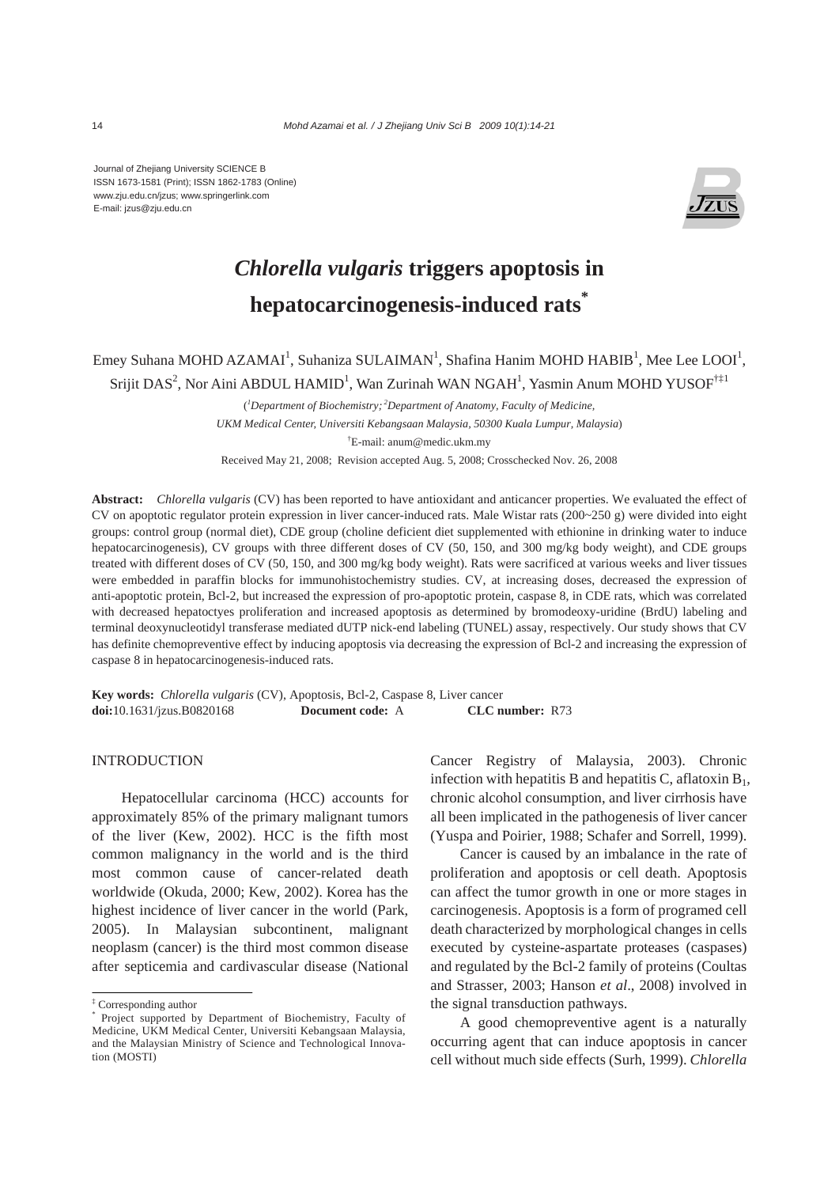Journal of Zhejiang University SCIENCE B ISSN 1673-1581 (Print); ISSN 1862-1783 (Online) www.zju.edu.cn/jzus; www.springerlink.com E-mail: jzus@zju.edu.cn



# *Chlorella vulgaris* **triggers apoptosis in hepatocarcinogenesis-induced rats\***

# Emey Suhana MOHD AZAMAI<sup>1</sup>, Suhaniza SULAIMAN<sup>1</sup>, Shafina Hanim MOHD HABIB<sup>1</sup>, Mee Lee LOOI<sup>1</sup>, Srijit DAS<sup>2</sup>, Nor Aini ABDUL HAMID<sup>1</sup>, Wan Zurinah WAN NGAH<sup>1</sup>, Yasmin Anum MOHD YUSOF<sup>†‡1</sup>

( *1 Department of Biochemistry; 2Department of Anatomy, Faculty of Medicine, UKM Medical Center, Universiti Kebangsaan Malaysia, 50300 Kuala Lumpur, Malaysia*) † E-mail: anum@medic.ukm.my Received May 21, 2008; Revision accepted Aug. 5, 2008; Crosschecked Nov. 26, 2008

**Abstract:** *Chlorella vulgaris* (CV) has been reported to have antioxidant and anticancer properties. We evaluated the effect of CV on apoptotic regulator protein expression in liver cancer-induced rats. Male Wistar rats (200~250 g) were divided into eight groups: control group (normal diet), CDE group (choline deficient diet supplemented with ethionine in drinking water to induce hepatocarcinogenesis), CV groups with three different doses of CV (50, 150, and 300 mg/kg body weight), and CDE groups treated with different doses of CV (50, 150, and 300 mg/kg body weight). Rats were sacrificed at various weeks and liver tissues were embedded in paraffin blocks for immunohistochemistry studies. CV, at increasing doses, decreased the expression of anti-apoptotic protein, Bcl-2, but increased the expression of pro-apoptotic protein, caspase 8, in CDE rats, which was correlated with decreased hepatoctyes proliferation and increased apoptosis as determined by bromodeoxy-uridine (BrdU) labeling and terminal deoxynucleotidyl transferase mediated dUTP nick-end labeling (TUNEL) assay, respectively. Our study shows that CV has definite chemopreventive effect by inducing apoptosis via decreasing the expression of Bcl-2 and increasing the expression of caspase 8 in hepatocarcinogenesis-induced rats.

**Key words:** *Chlorella vulgaris* (CV), Apoptosis, Bcl-2, Caspase 8, Liver cancer **doi:**10.1631/jzus.B0820168 **Document code:** A **CLC number:** R73

# **INTRODUCTION**

Hepatocellular carcinoma (HCC) accounts for approximately 85% of the primary malignant tumors of the liver (Kew, 2002). HCC is the fifth most common malignancy in the world and is the third most common cause of cancer-related death worldwide (Okuda, 2000; Kew, 2002). Korea has the highest incidence of liver cancer in the world (Park, 2005). In Malaysian subcontinent, malignant neoplasm (cancer) is the third most common disease after septicemia and cardivascular disease (National Cancer Registry of Malaysia, 2003). Chronic infection with hepatitis B and hepatitis C, aflatoxin  $B_1$ , chronic alcohol consumption, and liver cirrhosis have all been implicated in the pathogenesis of liver cancer (Yuspa and Poirier, 1988; Schafer and Sorrell, 1999).

Cancer is caused by an imbalance in the rate of proliferation and apoptosis or cell death. Apoptosis can affect the tumor growth in one or more stages in carcinogenesis. Apoptosis is a form of programed cell death characterized by morphological changes in cells executed by cysteine-aspartate proteases (caspases) and regulated by the Bcl-2 family of proteins (Coultas and Strasser, 2003; Hanson *et al*., 2008) involved in the signal transduction pathways.

A good chemopreventive agent is a naturally occurring agent that can induce apoptosis in cancer cell without much side effects (Surh, 1999). *Chlorella* 

<sup>‡</sup> Corresponding author

<sup>\*</sup> Project supported by Department of Biochemistry, Faculty of Medicine, UKM Medical Center, Universiti Kebangsaan Malaysia, and the Malaysian Ministry of Science and Technological Innovation (MOSTI)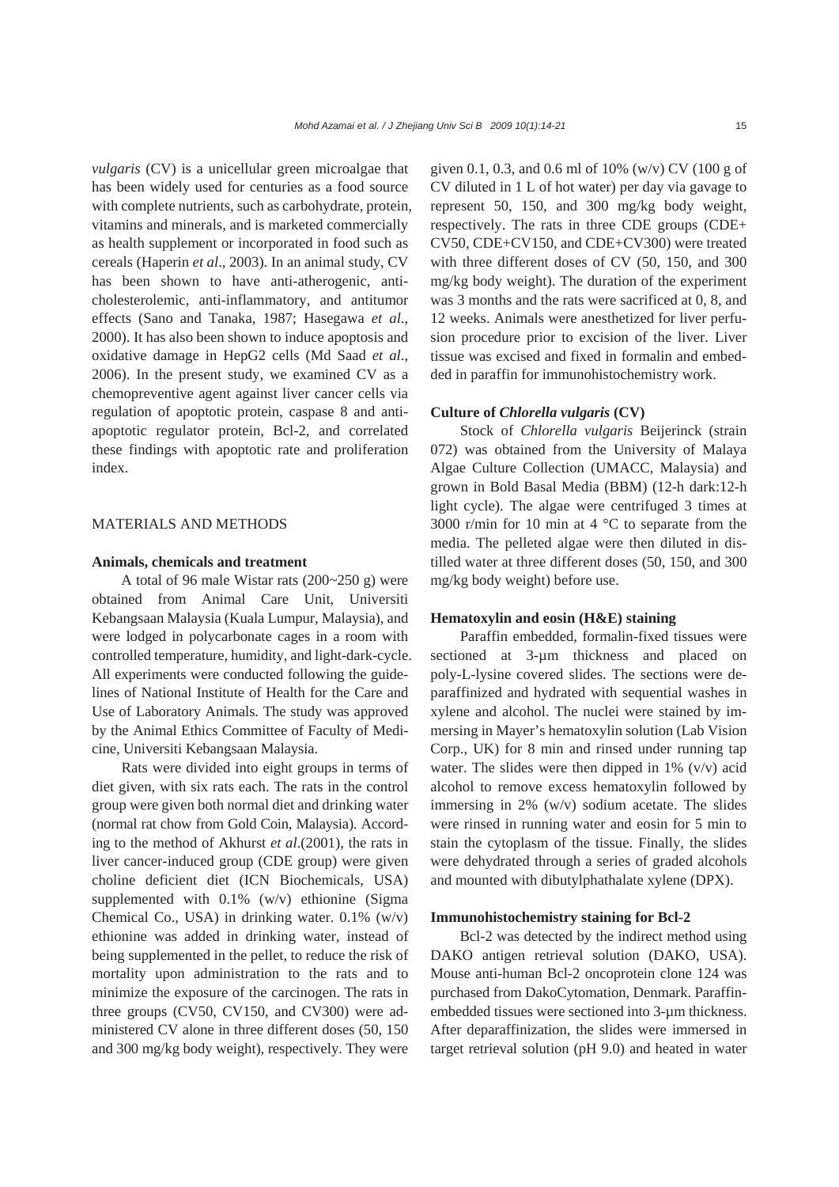*vulgaris* (CV) is a unicellular green microalgae that has been widely used for centuries as a food source with complete nutrients, such as carbohydrate, protein, vitamins and minerals, and is marketed commercially as health supplement or incorporated in food such as cereals (Haperin *et al*., 2003). In an animal study, CV has been shown to have anti-atherogenic, anticholesterolemic, anti-inflammatory, and antitumor effects (Sano and Tanaka, 1987; Hasegawa *et al*., 2000). It has also been shown to induce apoptosis and oxidative damage in HepG2 cells (Md Saad *et al*., 2006). In the present study, we examined CV as a chemopreventive agent against liver cancer cells via regulation of apoptotic protein, caspase 8 and antiapoptotic regulator protein, Bcl-2, and correlated these findings with apoptotic rate and proliferation index.

# MATERIALS AND METHODS

## **Animals, chemicals and treatment**

A total of 96 male Wistar rats (200~250 g) were obtained from Animal Care Unit, Universiti Kebangsaan Malaysia (Kuala Lumpur, Malaysia), and were lodged in polycarbonate cages in a room with controlled temperature, humidity, and light-dark-cycle. All experiments were conducted following the guidelines of National Institute of Health for the Care and Use of Laboratory Animals. The study was approved by the Animal Ethics Committee of Faculty of Medicine, Universiti Kebangsaan Malaysia.

Rats were divided into eight groups in terms of diet given, with six rats each. The rats in the control group were given both normal diet and drinking water (normal rat chow from Gold Coin, Malaysia). According to the method of Akhurst *et al*.(2001), the rats in liver cancer-induced group (CDE group) were given choline deficient diet (ICN Biochemicals, USA) supplemented with 0.1% (w/v) ethionine (Sigma Chemical Co., USA) in drinking water. 0.1% (w/v) ethionine was added in drinking water, instead of being supplemented in the pellet, to reduce the risk of mortality upon administration to the rats and to minimize the exposure of the carcinogen. The rats in three groups (CV50, CV150, and CV300) were administered CV alone in three different doses (50, 150 and 300 mg/kg body weight), respectively. They were given 0.1, 0.3, and 0.6 ml of 10% (w/v) CV (100 g of CV diluted in 1 L of hot water) per day via gavage to represent 50, 150, and 300 mg/kg body weight, respectively. The rats in three CDE groups (CDE+ CV50, CDE+CV150, and CDE+CV300) were treated with three different doses of CV (50, 150, and 300 mg/kg body weight). The duration of the experiment was 3 months and the rats were sacrificed at 0, 8, and 12 weeks. Animals were anesthetized for liver perfusion procedure prior to excision of the liver. Liver tissue was excised and fixed in formalin and embedded in paraffin for immunohistochemistry work.

# **Culture of** *Chlorella vulgaris* **(CV)**

Stock of *Chlorella vulgaris* Beijerinck (strain 072) was obtained from the University of Malaya Algae Culture Collection (UMACC, Malaysia) and grown in Bold Basal Media (BBM) (12-h dark:12-h light cycle). The algae were centrifuged 3 times at 3000 r/min for 10 min at 4 °C to separate from the media. The pelleted algae were then diluted in distilled water at three different doses (50, 150, and 300 mg/kg body weight) before use.

# **Hematoxylin and eosin (H&E) staining**

Paraffin embedded, formalin-fixed tissues were sectioned at 3-µm thickness and placed on poly-L-lysine covered slides. The sections were deparaffinized and hydrated with sequential washes in xylene and alcohol. The nuclei were stained by immersing in Mayer's hematoxylin solution (Lab Vision Corp., UK) for 8 min and rinsed under running tap water. The slides were then dipped in  $1\%$  (v/v) acid alcohol to remove excess hematoxylin followed by immersing in 2% (w/v) sodium acetate. The slides were rinsed in running water and eosin for 5 min to stain the cytoplasm of the tissue. Finally, the slides were dehydrated through a series of graded alcohols and mounted with dibutylphathalate xylene (DPX).

# **Immunohistochemistry staining for Bcl-2**

Bcl-2 was detected by the indirect method using DAKO antigen retrieval solution (DAKO, USA). Mouse anti-human Bcl-2 oncoprotein clone 124 was purchased from DakoCytomation, Denmark. Paraffinembedded tissues were sectioned into 3-um thickness. After deparaffinization, the slides were immersed in target retrieval solution (pH 9.0) and heated in water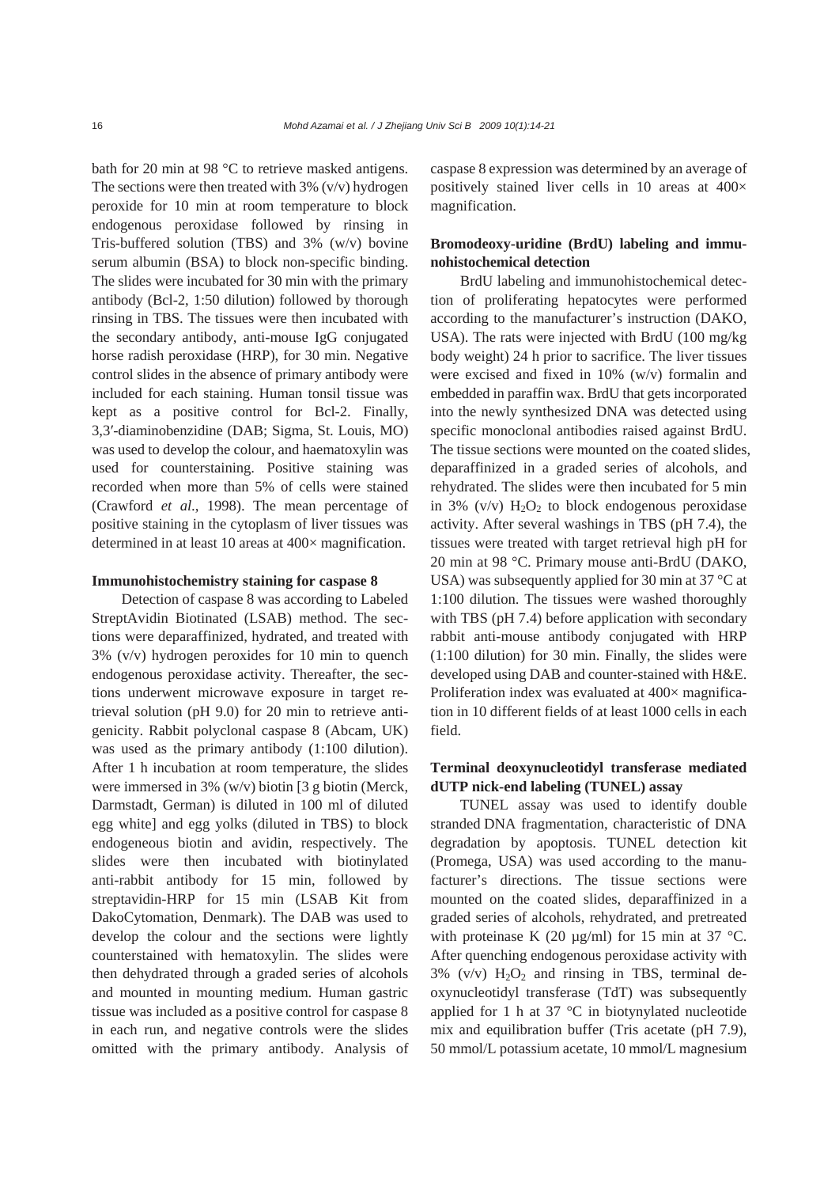bath for 20 min at 98 °C to retrieve masked antigens. The sections were then treated with  $3\%$  (v/v) hydrogen peroxide for 10 min at room temperature to block endogenous peroxidase followed by rinsing in Tris-buffered solution (TBS) and 3% (w/v) bovine serum albumin (BSA) to block non-specific binding. The slides were incubated for 30 min with the primary antibody (Bcl-2, 1:50 dilution) followed by thorough rinsing in TBS. The tissues were then incubated with the secondary antibody, anti-mouse IgG conjugated horse radish peroxidase (HRP), for 30 min. Negative control slides in the absence of primary antibody were included for each staining. Human tonsil tissue was kept as a positive control for Bcl-2. Finally, 3,3′-diaminobenzidine (DAB; Sigma, St. Louis, MO) was used to develop the colour, and haematoxylin was used for counterstaining. Positive staining was recorded when more than 5% of cells were stained (Crawford *et al*., 1998). The mean percentage of positive staining in the cytoplasm of liver tissues was determined in at least 10 areas at 400× magnification.

#### **Immunohistochemistry staining for caspase 8**

Detection of caspase 8 was according to Labeled StreptAvidin Biotinated (LSAB) method. The sections were deparaffinized, hydrated, and treated with 3% (v/v) hydrogen peroxides for 10 min to quench endogenous peroxidase activity. Thereafter, the sections underwent microwave exposure in target retrieval solution (pH 9.0) for 20 min to retrieve antigenicity. Rabbit polyclonal caspase 8 (Abcam, UK) was used as the primary antibody (1:100 dilution). After 1 h incubation at room temperature, the slides were immersed in 3% (w/v) biotin [3 g biotin (Merck, Darmstadt, German) is diluted in 100 ml of diluted egg white] and egg yolks (diluted in TBS) to block endogeneous biotin and avidin, respectively. The slides were then incubated with biotinylated anti-rabbit antibody for 15 min, followed by streptavidin-HRP for 15 min (LSAB Kit from DakoCytomation, Denmark). The DAB was used to develop the colour and the sections were lightly counterstained with hematoxylin. The slides were then dehydrated through a graded series of alcohols and mounted in mounting medium. Human gastric tissue was included as a positive control for caspase 8 in each run, and negative controls were the slides omitted with the primary antibody. Analysis of caspase 8 expression was determined by an average of positively stained liver cells in 10 areas at 400× magnification.

# **Bromodeoxy-uridine (BrdU) labeling and immunohistochemical detection**

BrdU labeling and immunohistochemical detection of proliferating hepatocytes were performed according to the manufacturer's instruction (DAKO, USA). The rats were injected with BrdU (100 mg/kg body weight) 24 h prior to sacrifice. The liver tissues were excised and fixed in 10% (w/v) formalin and embedded in paraffin wax. BrdU that gets incorporated into the newly synthesized DNA was detected using specific monoclonal antibodies raised against BrdU. The tissue sections were mounted on the coated slides, deparaffinized in a graded series of alcohols, and rehydrated. The slides were then incubated for 5 min in 3% (v/v)  $H_2O_2$  to block endogenous peroxidase activity. After several washings in TBS (pH 7.4), the tissues were treated with target retrieval high pH for 20 min at 98 °C. Primary mouse anti-BrdU (DAKO, USA) was subsequently applied for 30 min at 37 °C at 1:100 dilution. The tissues were washed thoroughly with TBS (pH 7.4) before application with secondary rabbit anti-mouse antibody conjugated with HRP (1:100 dilution) for 30 min. Finally, the slides were developed using DAB and counter-stained with H&E. Proliferation index was evaluated at 400× magnification in 10 different fields of at least 1000 cells in each field.

# **Terminal deoxynucleotidyl transferase mediated dUTP nick-end labeling (TUNEL) assay**

TUNEL assay was used to identify double stranded DNA fragmentation, characteristic of DNA degradation by apoptosis. TUNEL detection kit (Promega, USA) was used according to the manufacturer's directions. The tissue sections were mounted on the coated slides, deparaffinized in a graded series of alcohols, rehydrated, and pretreated with proteinase K (20  $\mu$ g/ml) for 15 min at 37 °C. After quenching endogenous peroxidase activity with  $3\%$  (v/v)  $H_2O_2$  and rinsing in TBS, terminal deoxynucleotidyl transferase (TdT) was subsequently applied for 1 h at 37 °C in biotynylated nucleotide mix and equilibration buffer (Tris acetate (pH 7.9), 50 mmol/L potassium acetate, 10 mmol/L magnesium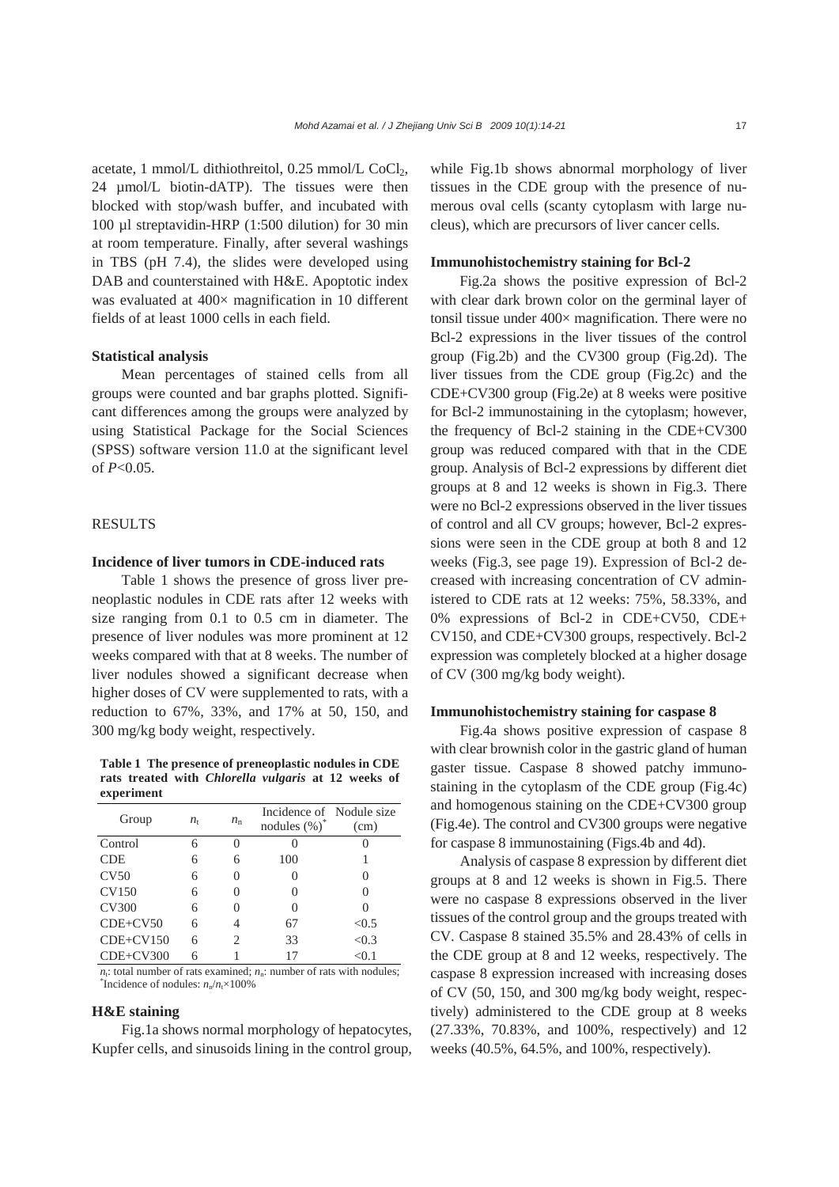acetate, 1 mmol/L dithiothreitol,  $0.25$  mmol/L CoCl<sub>2</sub>, 24 µmol/L biotin-dATP). The tissues were then blocked with stop/wash buffer, and incubated with 100 µl streptavidin-HRP (1:500 dilution) for 30 min at room temperature. Finally, after several washings in TBS (pH 7.4), the slides were developed using DAB and counterstained with H&E. Apoptotic index was evaluated at 400× magnification in 10 different fields of at least 1000 cells in each field.

#### **Statistical analysis**

Mean percentages of stained cells from all groups were counted and bar graphs plotted. Significant differences among the groups were analyzed by using Statistical Package for the Social Sciences (SPSS) software version 11.0 at the significant level of *P*<0.05.

## RESULTS

# **Incidence of liver tumors in CDE-induced rats**

Table 1 shows the presence of gross liver preneoplastic nodules in CDE rats after 12 weeks with size ranging from 0.1 to 0.5 cm in diameter. The presence of liver nodules was more prominent at 12 weeks compared with that at 8 weeks. The number of liver nodules showed a significant decrease when higher doses of CV were supplemented to rats, with a reduction to 67%, 33%, and 17% at 50, 150, and 300 mg/kg body weight, respectively.

**Table 1 The presence of preneoplastic nodules in CDE rats treated with** *Chlorella vulgaris* **at 12 weeks of experiment** 

| Group        | $n_{\rm t}$ | $n_{\rm n}$  | Incidence of Nodule size |          |
|--------------|-------------|--------------|--------------------------|----------|
|              |             |              | nodules (%)              | (cm)     |
| Control      | 6           |              |                          |          |
| <b>CDE</b>   | 6           | 6            | 100                      |          |
| CV50         | 6           | 0            | 0                        | $\theta$ |
| <b>CV150</b> | 6           |              | 0                        | 0        |
| <b>CV300</b> | 6           | $\mathbf{0}$ | 0                        | 0        |
| $CDE+CV50$   | 6           |              | 67                       | < 0.5    |
| $CDE+CV150$  | 6           | 2            | 33                       | < 0.3    |
| $CDE+CV300$  | 6           |              | 17                       | $<$ 0.1  |

 $n<sub>t</sub>$ : total number of rats examined;  $n<sub>n</sub>$ : number of rats with nodules; <sup>\*</sup>Incidence of nodules:  $n_n/n \times 100\%$ 

#### **H&E staining**

Fig.1a shows normal morphology of hepatocytes, Kupfer cells, and sinusoids lining in the control group, while Fig.1b shows abnormal morphology of liver tissues in the CDE group with the presence of numerous oval cells (scanty cytoplasm with large nucleus), which are precursors of liver cancer cells.

# **Immunohistochemistry staining for Bcl-2**

Fig.2a shows the positive expression of Bcl-2 with clear dark brown color on the germinal layer of tonsil tissue under  $400 \times$  magnification. There were no Bcl-2 expressions in the liver tissues of the control group (Fig.2b) and the CV300 group (Fig.2d). The liver tissues from the CDE group (Fig.2c) and the CDE+CV300 group (Fig.2e) at 8 weeks were positive for Bcl-2 immunostaining in the cytoplasm; however, the frequency of Bcl-2 staining in the CDE+CV300 group was reduced compared with that in the CDE group. Analysis of Bcl-2 expressions by different diet groups at 8 and 12 weeks is shown in Fig.3. There were no Bcl-2 expressions observed in the liver tissues of control and all CV groups; however, Bcl-2 expressions were seen in the CDE group at both 8 and 12 weeks (Fig.3, see page 19). Expression of Bcl-2 decreased with increasing concentration of CV administered to CDE rats at 12 weeks: 75%, 58.33%, and 0% expressions of Bcl-2 in CDE+CV50, CDE+ CV150, and CDE+CV300 groups, respectively. Bcl-2 expression was completely blocked at a higher dosage of CV (300 mg/kg body weight).

#### **Immunohistochemistry staining for caspase 8**

Fig.4a shows positive expression of caspase 8 with clear brownish color in the gastric gland of human gaster tissue. Caspase 8 showed patchy immunostaining in the cytoplasm of the CDE group (Fig.4c) and homogenous staining on the CDE+CV300 group (Fig.4e). The control and CV300 groups were negative for caspase 8 immunostaining (Figs.4b and 4d).

Analysis of caspase 8 expression by different diet groups at 8 and 12 weeks is shown in Fig.5. There were no caspase 8 expressions observed in the liver tissues of the control group and the groups treated with CV. Caspase 8 stained 35.5% and 28.43% of cells in the CDE group at 8 and 12 weeks, respectively. The caspase 8 expression increased with increasing doses of CV (50, 150, and 300 mg/kg body weight, respectively) administered to the CDE group at 8 weeks (27.33%, 70.83%, and 100%, respectively) and 12 weeks (40.5%, 64.5%, and 100%, respectively).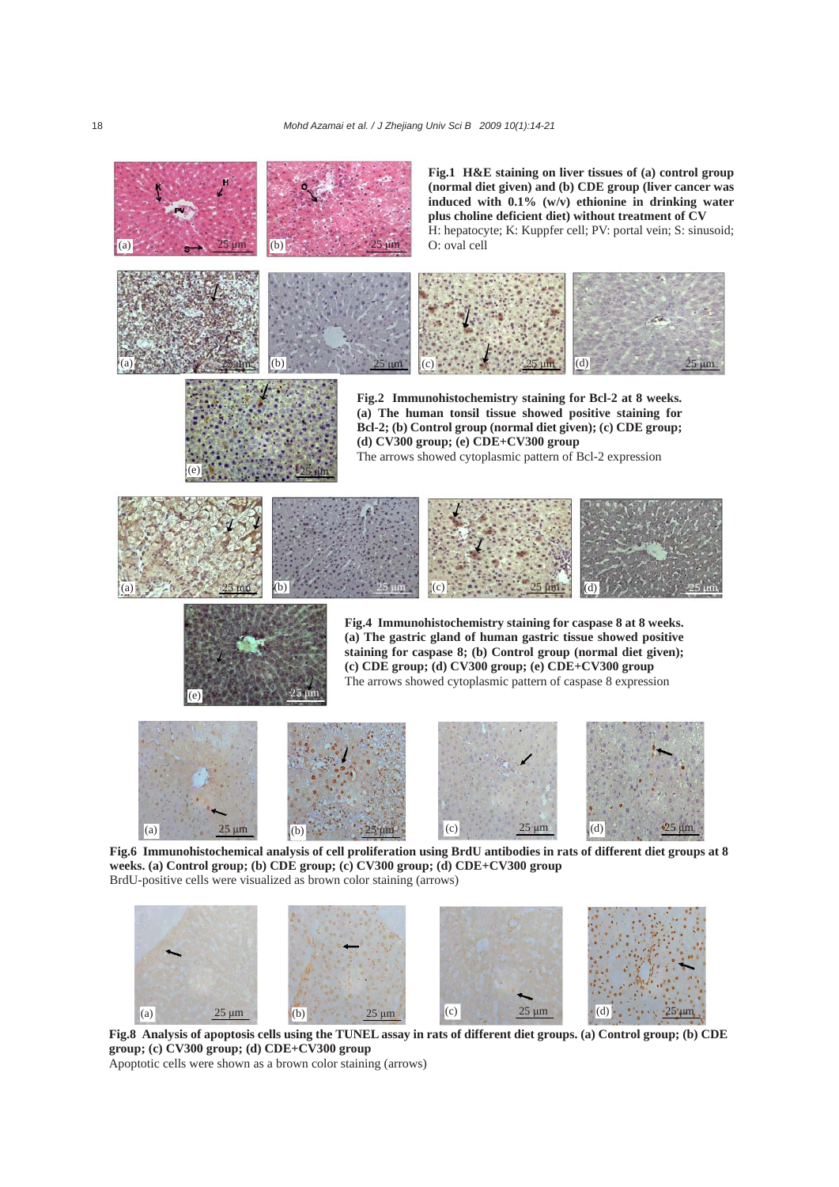

**Fig.8 Analysis of apoptosis cells using the TUNEL assay in rats of different diet groups. (a) Control group; (b) CDE group; (c) CV300 group; (d) CDE+CV300 group**  (a)  $25 \text{ }\mu\text{m}$  (b)  $25 \text{ }\mu\text{m}$  (c)  $25 \text{ }\mu\text{m}$  (d)  $25 \text{ }\mu\text{m}$ 

Apoptotic cells were shown as a brown color staining (arrows)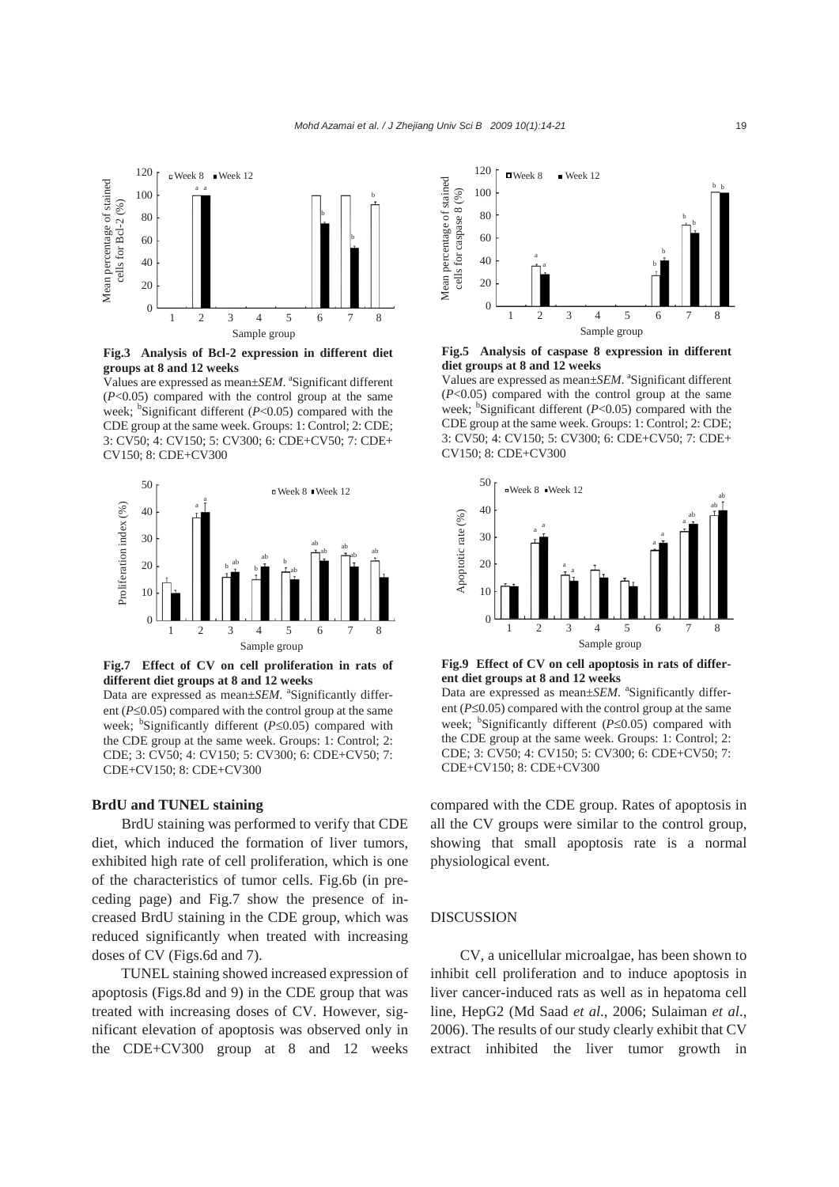

**Fig.3 Analysis of Bcl-2 expression in different diet groups at 8 and 12 weeks** 

Values are expressed as mean±*SEM*. <sup>a</sup>Significant different  $(P<0.05)$  compared with the control group at the same week; <sup>b</sup>Significant different  $(P<0.05)$  compared with the CDE group at the same week. Groups: 1: Control; 2: CDE; 3: CV50; 4: CV150; 5: CV300; 6: CDE+CV50; 7: CDE+ CV150; 8: CDE+CV300



**Fig.7 Effect of CV on cell proliferation in rats of different diet groups at 8 and 12 weeks**  Data are expressed as mean±*SEM*. <sup>a</sup>Significantly different (*P*≤0.05) compared with the control group at the same

week; <sup>b</sup>Significantly different (*P*≤0.05) compared with the CDE group at the same week. Groups: 1: Control; 2: CDE; 3: CV50; 4: CV150; 5: CV300; 6: CDE+CV50; 7: CDE+CV150; 8: CDE+CV300

#### **BrdU and TUNEL staining**

BrdU staining was performed to verify that CDE diet, which induced the formation of liver tumors, exhibited high rate of cell proliferation, which is one of the characteristics of tumor cells. Fig.6b (in preceding page) and Fig.7 show the presence of increased BrdU staining in the CDE group, which was reduced significantly when treated with increasing doses of CV (Figs.6d and 7).

TUNEL staining showed increased expression of apoptosis (Figs.8d and 9) in the CDE group that was treated with increasing doses of CV. However, significant elevation of apoptosis was observed only in the CDE+CV300 group at 8 and 12 weeks



**Fig.5 Analysis of caspase 8 expression in different diet groups at 8 and 12 weeks** 

Values are expressed as mean±*SEM*. <sup>a</sup>Significant different (*P*<0.05) compared with the control group at the same week; <sup>b</sup>Significant different (*P*<0.05) compared with the CDE group at the same week. Groups: 1: Control; 2: CDE; 3: CV50; 4: CV150; 5: CV300; 6: CDE+CV50; 7: CDE+ CV150; 8: CDE+CV300



**Fig.9 Effect of CV on cell apoptosis in rats of different diet groups at 8 and 12 weeks** 

Data are expressed as mean±*SEM*. <sup>a</sup>Significantly different (*P*≤0.05) compared with the control group at the same week; <sup>b</sup>Significantly different (*P*≤0.05) compared with the CDE group at the same week. Groups: 1: Control; 2: CDE; 3: CV50; 4: CV150; 5: CV300; 6: CDE+CV50; 7: CDE+CV150; 8: CDE+CV300

compared with the CDE group. Rates of apoptosis in all the CV groups were similar to the control group, showing that small apoptosis rate is a normal physiological event.

## DISCUSSION

CV, a unicellular microalgae, has been shown to inhibit cell proliferation and to induce apoptosis in liver cancer-induced rats as well as in hepatoma cell line, HepG2 (Md Saad *et al*., 2006; Sulaiman *et al*., 2006). The results of our study clearly exhibit that CV extract inhibited the liver tumor growth in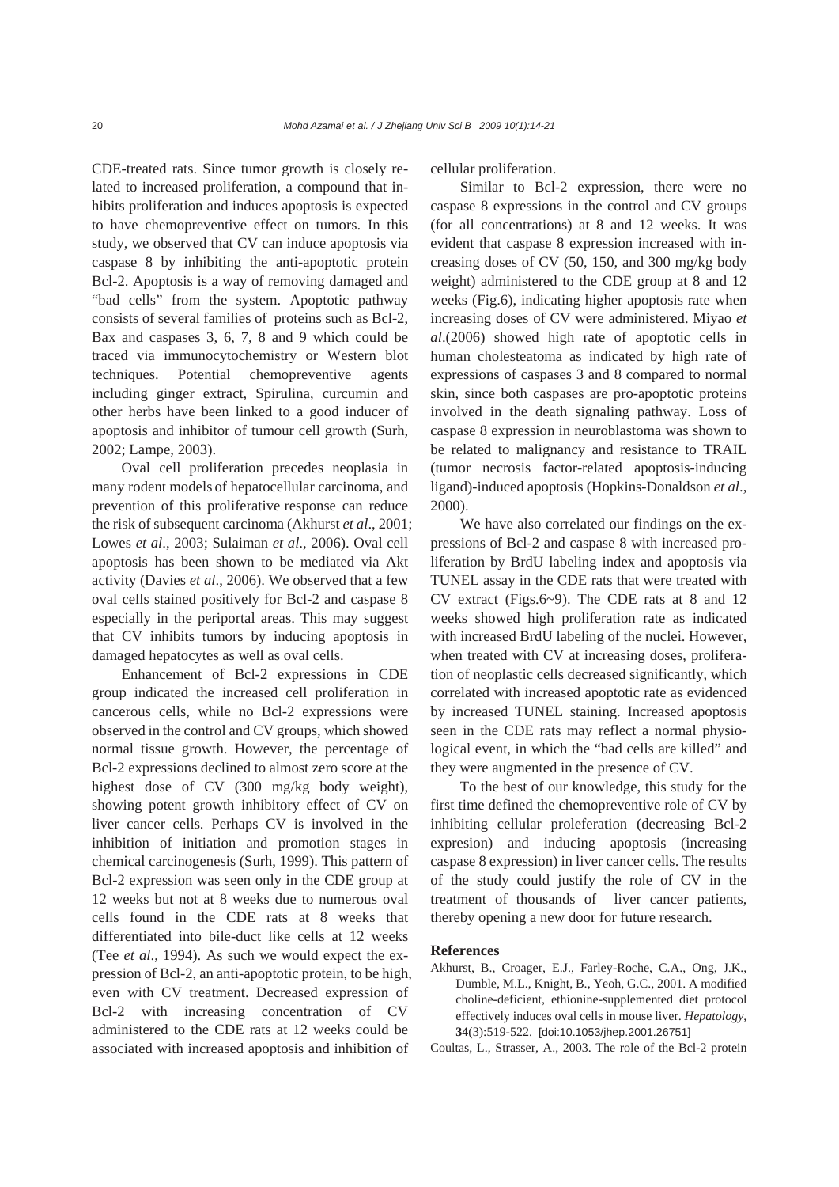CDE-treated rats. Since tumor growth is closely related to increased proliferation, a compound that inhibits proliferation and induces apoptosis is expected to have chemopreventive effect on tumors. In this study, we observed that CV can induce apoptosis via caspase 8 by inhibiting the anti-apoptotic protein Bcl-2. Apoptosis is a way of removing damaged and "bad cells" from the system. Apoptotic pathway consists of several families of proteins such as Bcl-2, Bax and caspases 3, 6, 7, 8 and 9 which could be traced via immunocytochemistry or Western blot techniques. Potential chemopreventive agents including ginger extract, Spirulina, curcumin and other herbs have been linked to a good inducer of apoptosis and inhibitor of tumour cell growth (Surh, 2002; Lampe, 2003).

Oval cell proliferation precedes neoplasia in many rodent models of hepatocellular carcinoma, and prevention of this proliferative response can reduce the risk of subsequent carcinoma (Akhurst *et al*., 2001; Lowes *et al*., 2003; Sulaiman *et al*., 2006). Oval cell apoptosis has been shown to be mediated via Akt activity (Davies *et al*., 2006). We observed that a few oval cells stained positively for Bcl-2 and caspase 8 especially in the periportal areas. This may suggest that CV inhibits tumors by inducing apoptosis in damaged hepatocytes as well as oval cells.

Enhancement of Bcl-2 expressions in CDE group indicated the increased cell proliferation in cancerous cells, while no Bcl-2 expressions were observed in the control and CV groups, which showed normal tissue growth. However, the percentage of Bcl-2 expressions declined to almost zero score at the highest dose of CV (300 mg/kg body weight), showing potent growth inhibitory effect of CV on liver cancer cells. Perhaps CV is involved in the inhibition of initiation and promotion stages in chemical carcinogenesis (Surh, 1999). This pattern of Bcl-2 expression was seen only in the CDE group at 12 weeks but not at 8 weeks due to numerous oval cells found in the CDE rats at 8 weeks that differentiated into bile-duct like cells at 12 weeks (Tee *et al*., 1994). As such we would expect the expression of Bcl-2, an anti-apoptotic protein, to be high, even with CV treatment. Decreased expression of Bcl-2 with increasing concentration of CV administered to the CDE rats at 12 weeks could be associated with increased apoptosis and inhibition of

cellular proliferation.

Similar to Bcl-2 expression, there were no caspase 8 expressions in the control and CV groups (for all concentrations) at 8 and 12 weeks. It was evident that caspase 8 expression increased with increasing doses of CV (50, 150, and 300 mg/kg body weight) administered to the CDE group at 8 and 12 weeks (Fig.6), indicating higher apoptosis rate when increasing doses of CV were administered. Miyao *et al*.(2006) showed high rate of apoptotic cells in human cholesteatoma as indicated by high rate of expressions of caspases 3 and 8 compared to normal skin, since both caspases are pro-apoptotic proteins involved in the death signaling pathway. Loss of caspase 8 expression in neuroblastoma was shown to be related to malignancy and resistance to TRAIL (tumor necrosis factor-related apoptosis-inducing ligand)-induced apoptosis (Hopkins-Donaldson *et al*., 2000).

We have also correlated our findings on the expressions of Bcl-2 and caspase 8 with increased proliferation by BrdU labeling index and apoptosis via TUNEL assay in the CDE rats that were treated with CV extract (Figs.6~9). The CDE rats at 8 and 12 weeks showed high proliferation rate as indicated with increased BrdU labeling of the nuclei. However, when treated with CV at increasing doses, proliferation of neoplastic cells decreased significantly, which correlated with increased apoptotic rate as evidenced by increased TUNEL staining. Increased apoptosis seen in the CDE rats may reflect a normal physiological event, in which the "bad cells are killed" and they were augmented in the presence of CV.

To the best of our knowledge, this study for the first time defined the chemopreventive role of CV by inhibiting cellular proleferation (decreasing Bcl-2 expresion) and inducing apoptosis (increasing caspase 8 expression) in liver cancer cells. The results of the study could justify the role of CV in the treatment of thousands of liver cancer patients, thereby opening a new door for future research.

# **References**

- Akhurst, B., Croager, E.J., Farley-Roche, C.A., Ong, J.K., Dumble, M.L., Knight, B., Yeoh, G.C., 2001. A modified choline-deficient, ethionine-supplemented diet protocol effectively induces oval cells in mouse liver. *Hepatology*, **34**(3):519-522. [doi:10.1053/jhep.2001.26751]
- Coultas, L., Strasser, A., 2003. The role of the Bcl-2 protein